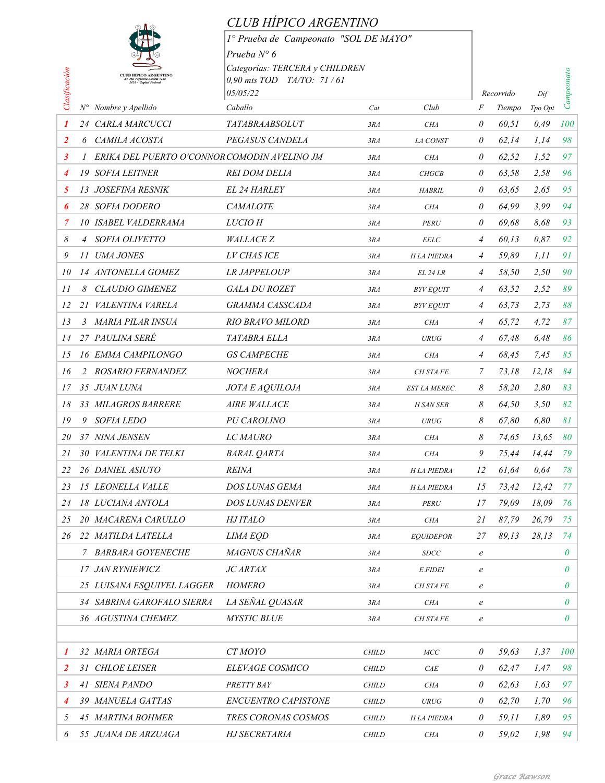|                |               |                                              | CLUB HÍPICO ARGENTINO                   |              |                      |                |                     |                |            |
|----------------|---------------|----------------------------------------------|-----------------------------------------|--------------|----------------------|----------------|---------------------|----------------|------------|
|                |               |                                              | 1º Prueba de Campeonato "SOL DE MAYO"   |              |                      |                |                     |                |            |
|                |               |                                              | Prueba $N^{\circ}$ 6                    |              |                      |                |                     |                |            |
|                |               | <b>CLUB HIPICO ARGENTINO</b>                 | Categorías: TERCERA y CHILDREN          |              |                      |                |                     |                |            |
|                |               |                                              | $0,90$ mts TOD TA/TO: 71/61<br>05/05/22 |              |                      |                |                     |                |            |
| Clasificación  |               | $N^{\circ}$ Nombre y Apellido                | Caballo                                 | Cat          | Club                 | F              | Recorrido<br>Tiempo | Dif<br>Tpo Opt | Campeonato |
| 1              |               | 24 CARLA MARCUCCI                            | <b>TATABRAABSOLUT</b>                   | 3RA          | <b>CHA</b>           | 0              | 60,51               | 0,49           | 100        |
| $\overline{2}$ |               | 6 CAMILA ACOSTA                              | PEGASUS CANDELA                         | 3RA          | LA CONST             | 0              | 62,14               | 1.14           | 98         |
| 3              | $\mathcal{I}$ | ERIKA DEL PUERTO O'CONNOR COMODIN AVELINO JM |                                         | 3RA          | <b>CHA</b>           | 0              | 62,52               | 1,52           | 97         |
| 4              |               | <b>19 SOFIA LEITNER</b>                      | <i>REI DOM DELIA</i>                    | 3RA          | <b>CHGCB</b>         | 0              | 63.58               | 2.58           | 96         |
| 5              |               | 13 JOSEFINA RESNIK                           | <b>EL 24 HARLEY</b>                     | 3RA          | <b>HABRIL</b>        | 0              | 63,65               | 2.65           | 95         |
| 6              |               | 28 SOFIA DODERO                              | <b>CAMALOTE</b>                         | 3RA          | <b>CHA</b>           | 0              | 64.99               | 3.99           | 94         |
| 7              |               | <b>10 ISABEL VALDERRAMA</b>                  | <b>LUCIO H</b>                          | 3RA          | PERU                 | 0              | 69,68               | 8,68           | 93         |
| 8              |               | 4 SOFIA OLIVETTO                             | <b>WALLACE Z</b>                        | 3RA          | <b>EELC</b>          | 4              | 60,13               | 0.87           | 92         |
| 9              |               | 11 UMA JONES                                 | <b>LV CHASICE</b>                       | 3RA          | <b>H</b> LA PIEDRA   | 4              | 59.89               | 1,11           | 91         |
| 10             |               | 14 ANTONELLA GOMEZ                           | <b>LR JAPPELOUP</b>                     | 3RA          | $EL$ 24 $LR$         | 4              | 58,50               | 2,50           | 90         |
| 11             |               | 8 CLAUDIO GIMENEZ                            | <b>GALA DU ROZET</b>                    | 3RA          | <b>BYV EQUIT</b>     | 4              | 63,52               | 2,52           | 89         |
| 12             |               | 21 VALENTINA VARELA                          | <b>GRAMMA CASSCADA</b>                  | 3RA          | <b>BYV EQUIT</b>     | 4              | 63,73               | 2,73           | 88         |
| 13             |               | 3 MARIA PILAR INSUA                          | <b>RIO BRAVO MILORD</b>                 | 3RA          | <b>CHA</b>           | 4              | 65,72               | 4,72           | 87         |
| 14             |               | 27 PAULINA SERÉ                              | TATABRA ELLA                            | 3RA          | <b>URUG</b>          | 4              | 67.48               | 6,48           | 86         |
| 15             |               | <b>16 EMMA CAMPILONGO</b>                    | <b>GS CAMPECHE</b>                      | 3RA          | <b>CHA</b>           | $\overline{4}$ | 68,45               | 7,45           | 85         |
| 16             |               | 2 ROSARIO FERNANDEZ                          | <b>NOCHERA</b>                          | 3RA          | <b>CH STA.FE</b>     | 7              | 73,18               | 12,18          | 84         |
| 17             |               | 35 JUAN LUNA                                 | JOTA E AQUILOJA                         | 3RA          | <b>EST LA MEREC.</b> | 8              | 58,20               | 2,80           | 83         |
| 18             |               | 33 MILAGROS BARRERE                          | <b>AIRE WALLACE</b>                     | 3RA          | <b>H SAN SEB</b>     | 8              | 64,50               | 3.50           | 82         |
| 19             | 9             | <i>SOFIA LEDO</i>                            | <b>PU CAROLINO</b>                      | 3RA          | <b>URUG</b>          | 8              | 67,80               | 6,80           | 81         |
| 20             |               | 37 NINA JENSEN                               | LC MAURO                                | 3RA          | <b>CHA</b>           | 8              | 74,65               | 13,65          | 80         |
| 21             |               | 30 VALENTINA DE TELKI                        | <b>BARAL QARTA</b>                      | 3RA          | CHA                  | 9              | 75,44               | 14,44          | 79         |
| 22             |               | 26 DANIEL ASIUTO                             | <b>REINA</b>                            | 3RA          | H LA PIEDRA          | 12             | 61,64               | 0,64           | 78         |
| 23             |               | 15 LEONELLA VALLE                            | DOS LUNAS GEMA                          | 3RA          | <b>HLA PIEDRA</b>    | 15             | 73,42               | 12,42          | 77         |
| 24             |               | 18 LUCIANA ANTOLA                            | <b>DOS LUNAS DENVER</b>                 | 3RA          | PERU                 | 17             | 79,09               | 18,09          | 76         |
| 25             |               | 20 MACARENA CARULLO                          | <i>HJ ITALO</i>                         | 3RA          | <b>CHA</b>           | 21             | 87,79               | 26,79          | 75         |
| 26             |               | 22 MATILDA LATELLA                           | LIMA EQD                                | 3RA          | <b>EQUIDEPOR</b>     | 27             | 89,13               | 28,13          | 74         |
|                |               | 7 BARBARA GOYENECHE                          | MAGNUS CHAÑAR                           | 3RA          | <b>SDCC</b>          | $\it e$        |                     |                | $\theta$   |
|                |               | 17 JAN RYNIEWICZ                             | <b>JC ARTAX</b>                         | 3RA          | <b>E.FIDEI</b>       | $\it e$        |                     |                | 0          |
|                |               | 25 LUISANA ESQUIVEL LAGGER                   | <b>HOMERO</b>                           | 3RA          | <b>CH STA.FE</b>     | e              |                     |                | 0          |
|                |               | 34 SABRINA GAROFALO SIERRA                   | LA SEÑAL QUASAR                         | 3RA          | <b>CHA</b>           | $\it e$        |                     |                | $\theta$   |
|                |               | 36 AGUSTINA CHEMEZ                           | <b>MYSTIC BLUE</b>                      | 3RA          | CH STA.FE            | $\it e$        |                     |                | 0          |
|                |               |                                              |                                         |              |                      |                |                     |                |            |
| 1              |               | 32 MARIA ORTEGA                              | CT MOYO                                 | <b>CHILD</b> | MCC                  | 0              | 59,63               | 1,37           | 100        |
| $\overline{2}$ |               | 31 CHLOE LEISER                              | ELEVAGE COSMICO                         | <b>CHILD</b> | CAE                  | $\theta$       | 62,47               | 1,47           | 98         |
| 3              |               | 41 SIENA PANDO                               | PRETTY BAY                              | <b>CHILD</b> | CHA                  | 0              | 62,63               | 1,63           | 97         |
| 4              |               | 39 MANUELA GATTAS                            | ENCUENTRO CAPISTONE                     | <b>CHILD</b> | <b>URUG</b>          | 0              | 62,70               | 1,70           | 96         |
| 5              |               | 45 MARTINA BOHMER                            | TRES CORONAS COSMOS                     | CHILD        | H LA PIEDRA          | 0              | 59,11               | 1,89           | 95         |
| 6              |               | 55 JUANA DE ARZUAGA                          | HJ SECRETARIA                           | CHILD        | <b>CHA</b>           | $\theta$       | 59,02               | 1,98           | 94         |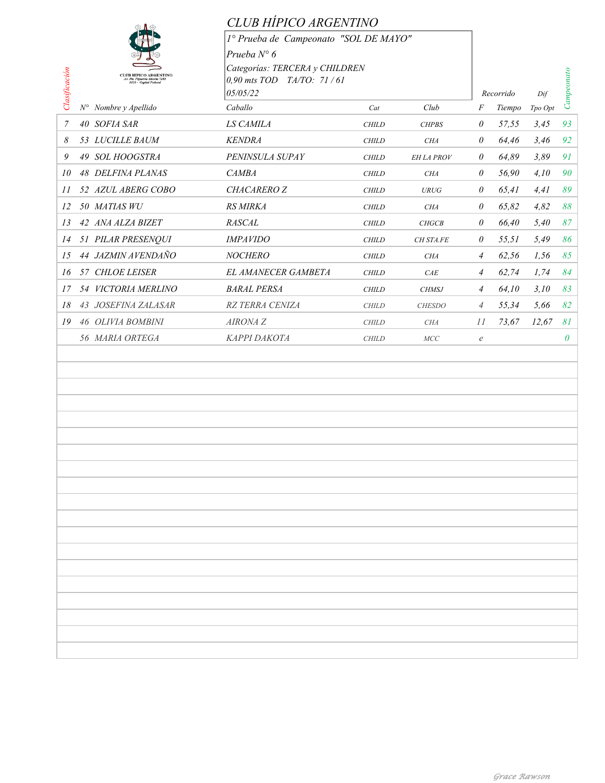|                                                     | CLUB HIPICO ARGENTINO                 |              |               |                  |           |         |            |
|-----------------------------------------------------|---------------------------------------|--------------|---------------|------------------|-----------|---------|------------|
|                                                     | 1º Prueba de Campeonato "SOL DE MAYO" |              |               |                  |           |         |            |
|                                                     | Prueba $N^{\circ}$ 6                  |              |               |                  |           |         |            |
| <b>CLUB HIPICO ARGENTINO</b>                        | Categorías: TERCERA y CHILDREN        |              |               |                  |           |         |            |
| Pu. Figueroa Alcorta 7285<br>1428 - Capital Federal | 0,90 mts TOD TA/TO: 71/61             |              |               |                  |           |         |            |
| Clasificación<br>$N^{\circ}$ Nombre y Apellido      | 05/05/22<br>Caballo                   | Cat          | Club          |                  | Recorrido | Dif     | Campeonato |
|                                                     |                                       |              |               | F                | Tiempo    | Tpo Opt |            |
| $\overline{7}$<br>40 SOFIA SAR                      | LS CAMILA                             | <b>CHILD</b> | <b>CHPBS</b>  | $\theta$         | 57,55     | 3,45    | 93         |
| 53 LUCILLE BAUM<br>8                                | <b>KENDRA</b>                         | <b>CHILD</b> | <b>CHA</b>    | $\theta$         | 64,46     | 3,46    | 92         |
| 9<br>49 SOL HOOGSTRA                                | PENINSULA SUPAY                       | $\it CHILD$  | EH LA PROV    | $\theta$         | 64,89     | 3,89    | 91         |
| 48 DELFINA PLANAS<br>10                             | <b>CAMBA</b>                          | <b>CHILD</b> | CHA           | $\theta$         | 56,90     | 4,10    | 90         |
| 52 AZUL ABERG COBO<br>II                            | CHACARERO Z                           | <b>CHILD</b> | <b>URUG</b>   | $\theta$         | 65,41     | 4,41    | 89         |
| 50 MATIAS WU<br>12                                  | RS MIRKA                              | <b>CHILD</b> | <b>CHA</b>    | $\theta$         | 65,82     | 4,82    | 88         |
| 42 ANA ALZA BIZET<br>13                             | <b>RASCAL</b>                         | <b>CHILD</b> | <b>CHGCB</b>  | $\theta$         | 66,40     | 5,40    | 87         |
| 51 PILAR PRESENQUI<br>14                            | <b>IMPAVIDO</b>                       | <b>CHILD</b> | CH STA.FE     | $\theta$         | 55,51     | 5,49    | 86         |
| 44 JAZMIN AVENDAÑO<br>15                            | <b>NOCHERO</b>                        | $\it CHILD$  | <b>CHA</b>    | $\overline{4}$   | 62,56     | 1,56    | 85         |
| 57 CHLOE LEISER<br>16                               | EL AMANECER GAMBETA                   | <b>CHILD</b> | CAE           | $\overline{A}$   | 62,74     | 1,74    | 84         |
| 54 VICTORIA MERLINO<br>17                           | <b>BARAL PERSA</b>                    | <b>CHILD</b> | <b>CHMSJ</b>  | $\overline{A}$   | 64,10     | 3,10    | 83         |
| 43 JOSEFINA ZALASAR<br>18                           | RZ TERRA CENIZA                       | <b>CHILD</b> | <b>CHESDO</b> | $\overline{4}$   | 55,34     | 5,66    | 82         |
| 46 OLIVIA BOMBINI<br>19                             | AIRONA Z                              | <b>CHILD</b> | <b>CHA</b>    | II               | 73,67     | 12,67   | 81         |
| 56 MARIA ORTEGA                                     | КАРРІ ДАКОТА                          | <b>CHILD</b> | MCC           | $\boldsymbol{e}$ |           |         | $\theta$   |
|                                                     |                                       |              |               |                  |           |         |            |
|                                                     |                                       |              |               |                  |           |         |            |
|                                                     |                                       |              |               |                  |           |         |            |
|                                                     |                                       |              |               |                  |           |         |            |
|                                                     |                                       |              |               |                  |           |         |            |
|                                                     |                                       |              |               |                  |           |         |            |
|                                                     |                                       |              |               |                  |           |         |            |
|                                                     |                                       |              |               |                  |           |         |            |
|                                                     |                                       |              |               |                  |           |         |            |
|                                                     |                                       |              |               |                  |           |         |            |
|                                                     |                                       |              |               |                  |           |         |            |
|                                                     |                                       |              |               |                  |           |         |            |
|                                                     |                                       |              |               |                  |           |         |            |
|                                                     |                                       |              |               |                  |           |         |            |
|                                                     |                                       |              |               |                  |           |         |            |
|                                                     |                                       |              |               |                  |           |         |            |
|                                                     |                                       |              |               |                  |           |         |            |
|                                                     |                                       |              |               |                  |           |         |            |
|                                                     |                                       |              |               |                  |           |         |            |
|                                                     |                                       |              |               |                  |           |         |            |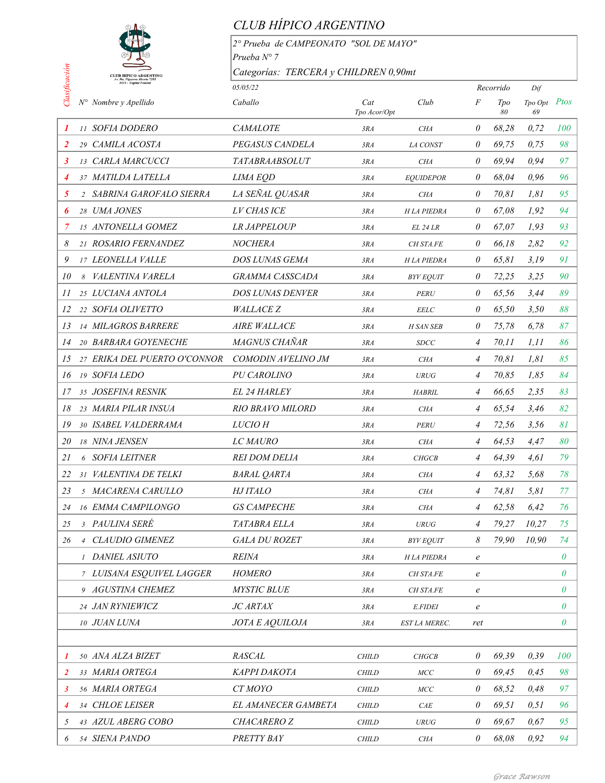

## *CLUB HÍPICO ARGENTINO*

*2° Prueba de CAMPEONATO "SOL DE MAYO" Prueba N° 7 Categorías: TERCERA y CHILDREN 0,90mt*

|                     | Categorías: TERCERA y CHILDREN 0,90mt<br><b>CLUB HIPICO ARGENTINO</b> |                         |                     |                   |                  |                  |                    |          |
|---------------------|-----------------------------------------------------------------------|-------------------------|---------------------|-------------------|------------------|------------------|--------------------|----------|
| $\Box$ lasificación | .<br>Ple. Figueroa Alcorta 728.<br>1428 - Capital Federal             | 05/05/22                |                     |                   |                  | Recorrido<br>Dif |                    |          |
|                     | N° Nombre y Apellido                                                  | Caballo                 | Cat<br>Tpo Acor/Opt | Club              | F                | Tpo<br>80        | Tpo Opt Ptos<br>69 |          |
| 1                   | 11 SOFIA DODERO                                                       | <b>CAMALOTE</b>         | 3RA                 | <b>CHA</b>        | 0                | 68,28            | 0,72               | 100      |
| 2                   | 29 CAMILA ACOSTA                                                      | PEGASUS CANDELA         | 3RA                 | LA CONST          | 0                | 69,75            | 0,75               | 98       |
| 3                   | 13 CARLA MARCUCCI                                                     | <b>TATABRAABSOLUT</b>   | 3RA                 | <b>CHA</b>        | 0                | 69,94            | 0.94               | 97       |
| 4                   | 37 MATILDA LATELLA                                                    | <b>LIMA EQD</b>         | 3RA                 | <b>EOUIDEPOR</b>  | $\theta$         | 68,04            | 0,96               | 96       |
| 5                   | 2 SABRINA GAROFALO SIERRA                                             | LA SEÑAL QUASAR         | 3RA                 | <b>CHA</b>        | 0                | 70,81            | 1,81               | 95       |
| 6                   | 28 UMA JONES                                                          | <b>LV CHAS ICE</b>      | 3RA                 | <b>HLA PIEDRA</b> | 0                | 67,08            | 1,92               | 94       |
| 7                   | 15 ANTONELLA GOMEZ                                                    | <b>LR JAPPELOUP</b>     | 3RA                 | <i>EL 24 LR</i>   | 0                | 67,07            | 1.93               | 93       |
| 8                   | 21 ROSARIO FERNANDEZ                                                  | <b>NOCHERA</b>          | 3RA                 | CH STA.FE         | 0                | 66,18            | 2,82               | 92       |
| 9                   | 17 LEONELLA VALLE                                                     | <b>DOS LUNAS GEMA</b>   | 3RA                 | <b>HLA PIEDRA</b> | 0                | 65,81            | 3,19               | 91       |
| 10                  | 8 VALENTINA VARELA                                                    | GRAMMA CASSCADA         | 3RA                 | <b>BYV EQUIT</b>  | 0                | 72,25            | 3,25               | 90       |
| 11                  | 25 LUCIANA ANTOLA                                                     | <b>DOS LUNAS DENVER</b> | 3RA                 | <b>PERU</b>       | 0                | 65,56            | 3,44               | 89       |
| 12                  | 22 SOFIA OLIVETTO                                                     | <b>WALLACE Z</b>        | 3RA                 | <b>EELC</b>       | 0                | 65,50            | 3,50               | 88       |
| 13                  | 14 MILAGROS BARRERE                                                   | <b>AIRE WALLACE</b>     | 3RA                 | <b>H SAN SEB</b>  | $\theta$         | 75,78            | 6.78               | 87       |
| 14                  | 20 BARBARA GOYENECHE                                                  | MAGNUS CHAÑAR           | 3RA                 | <b>SDCC</b>       | $\overline{4}$   | 70, 11           | 1.11               | 86       |
| 15                  | 27 ERIKA DEL PUERTO O'CONNOR                                          | COMODIN AVELINO JM      | 3RA                 | <b>CHA</b>        | $\overline{4}$   | 70,81            | 1,81               | 85       |
| 16                  | 19 SOFIA LEDO                                                         | PU CAROLINO             | 3RA                 | <b>URUG</b>       | $\overline{4}$   | 70,85            | 1,85               | 84       |
| 17                  | 35 JOSEFINA RESNIK                                                    | <b>EL 24 HARLEY</b>     | 3RA                 | <b>HABRIL</b>     | 4                | 66,65            | 2,35               | 83       |
| 18                  | 23 MARIA PILAR INSUA                                                  | <b>RIO BRAVO MILORD</b> | 3RA                 | <b>CHA</b>        | $\overline{4}$   | 65,54            | 3.46               | 82       |
| 19                  | 30 ISABEL VALDERRAMA                                                  | <b>LUCIO H</b>          | 3RA                 | <b>PERU</b>       | $\overline{4}$   | 72,56            | 3,56               | 8I       |
| 20                  | 18 NINA JENSEN                                                        | <b>LC MAURO</b>         | 3RA                 | <b>CHA</b>        | $\overline{4}$   | 64,53            | 4,47               | 80       |
| 21                  | 6 SOFIA LEITNER                                                       | <b>REI DOM DELIA</b>    | 3RA                 | <b>CHGCB</b>      | 4                | 64,39            | 4,61               | 79       |
| 22                  | 31 VALENTINA DE TELKI                                                 | <b>BARAL QARTA</b>      | 3RA                 | <b>CHA</b>        | $\overline{4}$   | 63,32            | 5,68               | 78       |
| 23                  | 5 MACARENA CARULLO                                                    | HJ ITALO                | 3RA                 | <b>CHA</b>        | $\overline{4}$   | 74,81            | 5.81               | 77       |
|                     | 24 16 EMMA CAMPILONGO                                                 | <b>GS CAMPECHE</b>      | 3RA                 | CHA               | $\overline{4}$   | 62,58            | 6,42               | 76       |
| 25                  | 3 PAULINA SERÉ                                                        | <i>TATABRA ELLA</i>     | 3RA                 | <b>URUG</b>       | $\overline{4}$   | 79,27            | 10,27              | 75       |
| 26                  | 4 CLAUDIO GIMENEZ                                                     | <b>GALA DU ROZET</b>    | 3RA                 | <b>BYV EQUIT</b>  | 8                | 79,90            | 10,90              | 74       |
|                     | 1 DANIEL ASIUTO                                                       | <i>REINA</i>            | 3RA                 | <b>HLA PIEDRA</b> | $\epsilon$       |                  |                    | 0        |
|                     | 7 LUISANA ESQUIVEL LAGGER                                             | <b>HOMERO</b>           | 3RA                 | <b>CH STA.FE</b>  | $\boldsymbol{e}$ |                  |                    | 0        |
|                     | 9 AGUSTINA CHEMEZ                                                     | <b>MYSTIC BLUE</b>      | 3RA                 | <b>CH STA.FE</b>  | $\boldsymbol{e}$ |                  |                    | 0        |
|                     | 24 JAN RYNIEWICZ                                                      | <b>JC ARTAX</b>         | 3RA                 | <b>E.FIDEI</b>    | $\boldsymbol{e}$ |                  |                    | 0        |
|                     | 10 JUAN LUNA                                                          | <b>JOTA E AQUILOJA</b>  | 3RA                 | EST LA MEREC.     | ret              |                  |                    | $\theta$ |
|                     |                                                                       |                         |                     |                   |                  |                  |                    |          |
| 1                   | 50 ANA ALZA BIZET                                                     | <b>RASCAL</b>           | <b>CHILD</b>        | <b>CHGCB</b>      | $\theta$         | 69,39            | 0,39               | 100      |
| 2                   | 33 MARIA ORTEGA                                                       | <b>KAPPI DAKOTA</b>     | <b>CHILD</b>        | MCC               | 0                | 69,45            | 0,45               | 98       |
| 3                   | 56 MARIA ORTEGA                                                       | CT MOYO                 | <b>CHILD</b>        | MCC               | 0                | 68,52            | 0,48               | 97       |
| 4                   | 34 CHLOE LEISER                                                       | EL AMANECER GAMBETA     | <b>CHILD</b>        | CAE               | $\theta$         | 69,51            | 0,51               | 96       |
| 5                   | 43 AZUL ABERG COBO                                                    | <b>CHACARERO Z</b>      | <b>CHILD</b>        | <b>URUG</b>       | 0                | 69,67            | 0.67               | 95       |
| 6                   | 54 SIENA PANDO                                                        | PRETTY BAY              | <b>CHILD</b>        | <b>CHA</b>        | $\theta$         | 68,08            | 0.92               | 94       |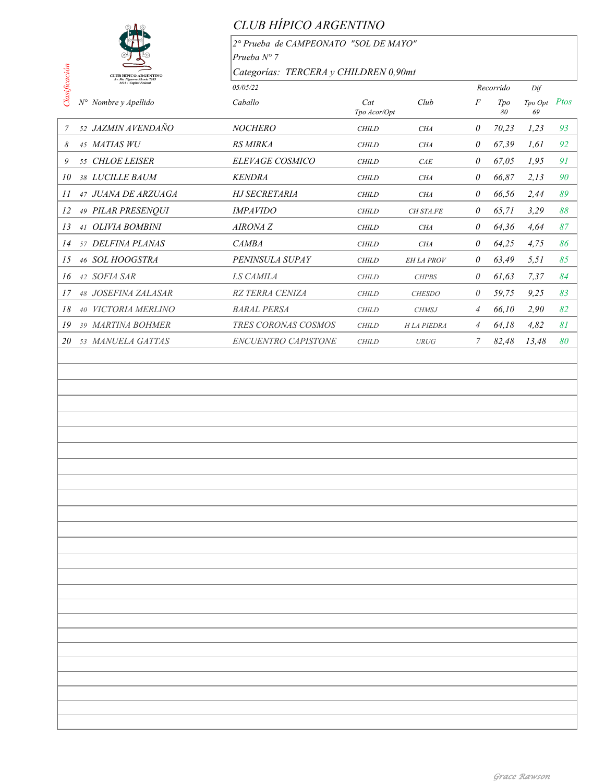

## *CLUB HÍPICO ARGENTINO*

*2° Prueba de CAMPEONATO "SOL DE MAYO" Prueba N° 7 Categorías: TERCERA y CHILDREN 0,90mt*

|                     |                                                                | 111 uccu 11                           |                     |                   |                |           |               |      |  |
|---------------------|----------------------------------------------------------------|---------------------------------------|---------------------|-------------------|----------------|-----------|---------------|------|--|
|                     | <b>CLUB HIPICO ARGENTINO</b><br>Av. Pte. Figueroa Alcorta 7285 | Categorías: TERCERA y CHILDREN 0,90mt |                     |                   |                |           |               |      |  |
| $\Box$ lasificación | 1428 - Capital Federal                                         | 05/05/22                              |                     |                   |                | Recorrido | Dif           |      |  |
|                     | $N^{\circ}$<br>Nombre y Apellido                               | Caballo                               | Cat<br>Tpo Acor/Opt | Club              | F              | Tpo<br>80 | Tpo Opt<br>69 | Ptos |  |
| 7                   | 52 JAZMIN AVENDAÑO                                             | <b>NOCHERO</b>                        | <b>CHILD</b>        | <b>CHA</b>        | 0              | 70,23     | 1,23          | 93   |  |
| 8                   | 45 MATIAS WU                                                   | <b>RS MIRKA</b>                       | <b>CHILD</b>        | <b>CHA</b>        | 0              | 67,39     | 1,61          | 92   |  |
| 9                   | 55 CHLOE LEISER                                                | <b>ELEVAGE COSMICO</b>                | <b>CHILD</b>        | CAE               | 0              | 67,05     | 1,95          | 91   |  |
| 10                  | 38 LUCILLE BAUM                                                | <b>KENDRA</b>                         | <b>CHILD</b>        | <b>CHA</b>        | 0              | 66,87     | 2.13          | 90   |  |
| 11                  | 47 JUANA DE ARZUAGA                                            | <b>HJ SECRETARIA</b>                  | <b>CHILD</b>        | <b>CHA</b>        | 0              | 66,56     | 2,44          | 89   |  |
| 12                  | 49 PILAR PRESENQUI                                             | <i>IMPAVIDO</i>                       | <b>CHILD</b>        | CH STA.FE         | 0              | 65,71     | 3,29          | 88   |  |
| 13                  | 41 OLIVIA BOMBINI                                              | <b>AIRONA Z</b>                       | <b>CHILD</b>        | <b>CHA</b>        | 0              | 64,36     | 4.64          | 87   |  |
| 14                  | 57 DELFINA PLANAS                                              | <b>CAMBA</b>                          | <b>CHILD</b>        | <b>CHA</b>        | 0              | 64,25     | 4.75          | 86   |  |
| 15                  | 46 SOL HOOGSTRA                                                | PENINSULA SUPAY                       | <b>CHILD</b>        | <b>EH LA PROV</b> | 0              | 63,49     | 5, 51         | 85   |  |
| 16                  | 42 SOFIA SAR                                                   | <i>LS CAMILA</i>                      | <b>CHILD</b>        | <b>CHPBS</b>      | 0              | 61,63     | 7.37          | 84   |  |
| 17                  | 48 JOSEFINA ZALASAR                                            | <b>RZ TERRA CENIZA</b>                | <b>CHILD</b>        | <b>CHESDO</b>     | 0              | 59,75     | 9.25          | 83   |  |
| 18                  | 40 VICTORIA MERLINO                                            | <b>BARAL PERSA</b>                    | <b>CHILD</b>        | <b>CHMSJ</b>      | $\overline{4}$ | 66,10     | 2,90          | 82   |  |
| 19                  | 39 MARTINA BOHMER                                              | TRES CORONAS COSMOS                   | <b>CHILD</b>        | <b>HLA PIEDRA</b> | 4              | 64.18     | 4,82          | 81   |  |
| 20                  | 53 MANUELA GATTAS                                              | <b>ENCUENTRO CAPISTONE</b>            | <b>CHILD</b>        | <b>URUG</b>       |                | 82,48     | 13,48         | 80   |  |
|                     |                                                                |                                       |                     |                   |                |           |               |      |  |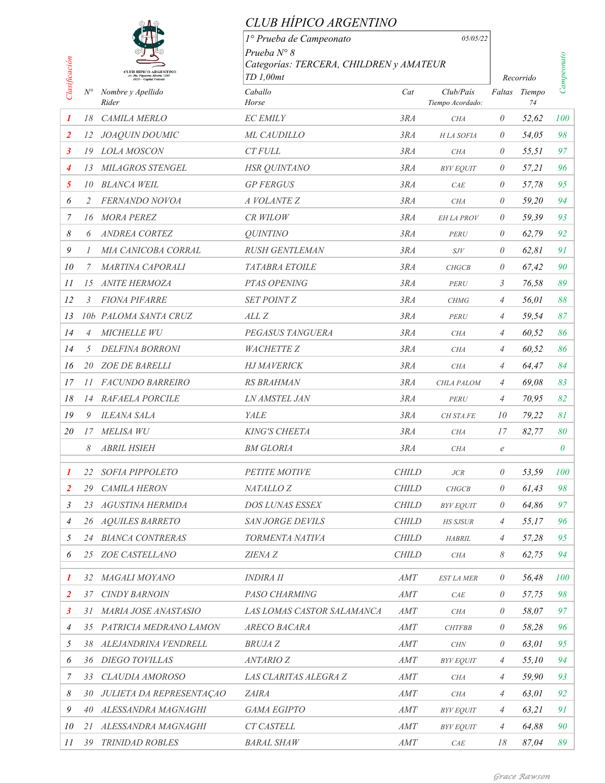|                |                |                                                                                          | CLUB HIPICO ARGENTINO                                |              |                               |                     |           |            |
|----------------|----------------|------------------------------------------------------------------------------------------|------------------------------------------------------|--------------|-------------------------------|---------------------|-----------|------------|
|                |                |                                                                                          | 1º Prueba de Campeonato                              |              | 05/05/22                      |                     |           |            |
|                |                |                                                                                          | Prueba $N^{\circ}$ 8                                 |              |                               |                     |           |            |
|                |                | <b>CLUB HIPICO ARGENTINO</b><br>Av. Pte. Figueroa Alcorta 7285<br>1428 - Capital Federal | Categorías: TERCERA, CHILDREN y AMATEUR<br>TD 1,00mt |              |                               |                     | Recorrido | Campeonato |
| Clasificación  | $N^{\circ}$    | Nombre y Apellido<br>Rider                                                               | Caballo<br>Horse                                     | Cat          | Club/País<br>Tiempo Acordado: | Faltas Tiempo<br>74 |           |            |
| 1              | 18             | CAMILA MERLO                                                                             | <b>EC EMILY</b>                                      | 3RA          | <b>CHA</b>                    | $\theta$            | 52,62     | 100        |
| $\overline{2}$ | 12             | JOAQUIN DOUMIC                                                                           | ML CAUDILLO                                          | 3RA          | H LA SOFIA                    | $\theta$            | 54,05     | 98         |
| 3              |                | 19 LOLA MOSCON                                                                           | <b>CT FULL</b>                                       | 3RA          | <b>CHA</b>                    | 0                   | 55.51     | 97         |
| 4              |                | 13 MILAGROS STENGEL                                                                      | <b>HSR QUINTANO</b>                                  | 3RA          | <b>BYV EQUIT</b>              | 0                   | 57,21     | 96         |
| 5              |                | 10 BLANCA WEIL                                                                           | <b>GP FERGUS</b>                                     | 3RA          | CAE                           | $\theta$            | 57,78     | 95         |
| 6              | 2              | FERNANDO NOVOA                                                                           | A VOLANTE Z                                          | 3RA          | <b>CHA</b>                    | $\theta$            | 59,20     | 94         |
| 7              |                | 16 MORA PEREZ                                                                            | CR WILOW                                             | 3RA          | <b>EH LA PROV</b>             | $\theta$            | 59,39     | 93         |
| 8              | 6              | <b>ANDREA CORTEZ</b>                                                                     | <i><b>QUINTINO</b></i>                               | 3RA          | PERU                          | 0                   | 62,79     | 92         |
| 9              | $\prime$       | MIA CANICOBA CORRAL                                                                      | <b>RUSH GENTLEMAN</b>                                | 3RA          | SJV                           | 0                   | 62,81     | 91         |
| 10             | 7              | <b>MARTINA CAPORALI</b>                                                                  | <b>TATABRA ETOILE</b>                                | 3RA          | <b>CHGCB</b>                  | $\theta$            | 67,42     | 90         |
| 11             | 15             | <b>ANITE HERMOZA</b>                                                                     | PTAS OPENING                                         | 3RA          | PERU                          | 3                   | 76,58     | 89         |
| 12             | 3              | <b>FIONA PIFARRE</b>                                                                     | <b>SET POINT Z</b>                                   | 3RA          | <b>CHMG</b>                   | $\overline{A}$      | 56,01     | 88         |
| 13             |                | 10b PALOMA SANTA CRUZ                                                                    | ALL Z                                                | 3RA          | PERU                          | 4                   | 59,54     | 87         |
| 14             | $\overline{4}$ | <b>MICHELLE WU</b>                                                                       | PEGASUS TANGUERA                                     | 3RA          | <b>CHA</b>                    | $\overline{A}$      | 60,52     | 86         |
| 14             | 5              | <b>DELFINA BORRONI</b>                                                                   | <b>WACHETTE Z</b>                                    | 3RA          | <b>CHA</b>                    | $\overline{A}$      | 60,52     | 86         |
| 16             |                | 20 ZOE DE BARELLI                                                                        | <b>HJ MAVERICK</b>                                   | 3RA          | <b>CHA</b>                    | $\overline{4}$      | 64,47     | 84         |
| 17             |                | 11 FACUNDO BARREIRO                                                                      | RS BRAHMAN                                           | 3RA          | CHLA PALOM                    | 4                   | 69,08     | 83         |
| 18             |                | 14 RAFAELA PORCILE                                                                       | <b>LN AMSTEL JAN</b>                                 | 3RA          | PERU                          | 4                   | 70,95     | 82         |
| 19             | 9              | <b>ILEANA SALA</b>                                                                       | YALE                                                 | 3RA          | CH STA.FE                     | 10                  | 79,22     | 81         |
| 20             | 17             | <b>MELISA WU</b>                                                                         | <b>KING'S CHEETA</b>                                 | 3RA          | <b>CHA</b>                    | 17                  | 82,77     | 80         |
|                | 8              | <b>ABRIL HSIEH</b>                                                                       | <b>BM GLORIA</b>                                     | 3RA          | <b>CHA</b>                    | $\mathcal{C}$       |           | $\theta$   |
| 1              |                | 22 SOFIA PIPPOLETO                                                                       | PETITE MOTIVE                                        | <b>CHILD</b> | ${\it JCR}$                   | $\theta$            | 53,59     | 100        |
| $\overline{2}$ | 29             | <b>CAMILA HERON</b>                                                                      | NATALLO <sub>Z</sub>                                 | <b>CHILD</b> | CHGCB                         | $\theta$            | 61,43     | 98         |
| 3              |                | 23 AGUSTINA HERMIDA                                                                      | DOS LUNAS ESSEX                                      | <b>CHILD</b> | <b>BYV EQUIT</b>              | 0                   | 64,86     | 97         |
| $\overline{4}$ |                | 26 AQUILES BARRETO                                                                       | SAN JORGE DEVILS                                     | <b>CHILD</b> | <b>HS SJSUR</b>               | 4                   | 55,17     | 96         |
| 5              |                | 24 BIANCA CONTRERAS                                                                      | TORMENTA NATIVA                                      | <b>CHILD</b> | <b>HABRIL</b>                 | $\overline{A}$      | 57,28     | 95         |
| 6              |                | 25 ZOE CASTELLANO                                                                        | ZIENA Z                                              | <b>CHILD</b> | <b>CHA</b>                    | 8                   | 62,75     | 94         |
| 1              |                | 32 MAGALI MOYANO                                                                         | <b>INDIRA II</b>                                     | AMT          | <b>EST LA MER</b>             | 0                   | 56,48     | 100        |
| $\overline{2}$ | 37             | <b>CINDY BARNOIN</b>                                                                     | PASO CHARMING                                        | AMT          | CAE                           | $\theta$            | 57,75     | 98         |
| $\mathbf{3}$   |                | 31 MARIA JOSE ANASTASIO                                                                  | LAS LOMAS CASTOR SALAMANCA                           | AMT          | <b>CHA</b>                    | $\theta$            | 58,07     | 97         |
| $\overline{4}$ |                | 35 PATRICIA MEDRANO LAMON                                                                | ARECO BACARA                                         | AMT          | <b>CHTFBB</b>                 | $\theta$            | 58,28     | 96         |
| 5              |                | 38 ALEJANDRINA VENDRELL                                                                  | <b>BRUJAZ</b>                                        | AMT          | $\ensuremath{\mathcal{CHN}}$  | $\theta$            | 63,01     | 95         |
| 6              |                | 36 DIEGO TOVILLAS                                                                        | <b>ANTARIO Z</b>                                     | AMT          | <b>BYV EQUIT</b>              | 4                   | 55,10     | 94         |
| 7              | 33             | CLAUDIA AMOROSO                                                                          | LAS CLARITAS ALEGRA Z                                | AMT          | <b>CHA</b>                    | $\overline{A}$      | 59,90     | 93         |
| 8              |                | 30 JULIETA DA REPRESENTAÇÃO                                                              | <b>ZAIRA</b>                                         | AMT          | CHA                           | 4                   | 63,01     | 92         |
| 9              |                | 40 ALESSANDRA MAGNAGHI                                                                   | GAMA EGIPTO                                          | AMT          | <b>BYV EQUIT</b>              | $\overline{A}$      | 63,21     | 91         |
| 10             |                | 21 ALESSANDRA MAGNAGHI                                                                   | <b>CT CASTELL</b>                                    | AMT          | <b>BYV EQUIT</b>              | 4                   | 64,88     | 90         |
| II             |                | 39 TRINIDAD ROBLES                                                                       | <b>BARAL SHAW</b>                                    | AMT          | $\ensuremath{\mathcal{C}}AE$  | 18                  | 87,04     | 89         |
|                |                |                                                                                          |                                                      |              |                               |                     |           |            |